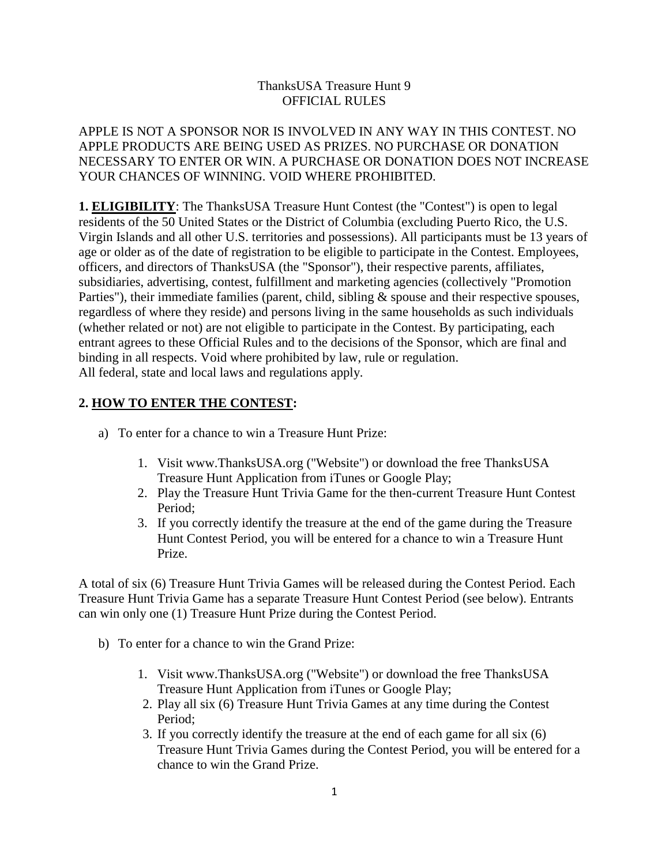## ThanksUSA Treasure Hunt 9 OFFICIAL RULES

APPLE IS NOT A SPONSOR NOR IS INVOLVED IN ANY WAY IN THIS CONTEST. NO APPLE PRODUCTS ARE BEING USED AS PRIZES. NO PURCHASE OR DONATION NECESSARY TO ENTER OR WIN. A PURCHASE OR DONATION DOES NOT INCREASE YOUR CHANCES OF WINNING. VOID WHERE PROHIBITED.

**1. ELIGIBILITY:** The ThanksUSA Treasure Hunt Contest (the "Contest") is open to legal residents of the 50 United States or the District of Columbia (excluding Puerto Rico, the U.S. Virgin Islands and all other U.S. territories and possessions). All participants must be 13 years of age or older as of the date of registration to be eligible to participate in the Contest. Employees, officers, and directors of ThanksUSA (the "Sponsor"), their respective parents, affiliates, subsidiaries, advertising, contest, fulfillment and marketing agencies (collectively "Promotion Parties"), their immediate families (parent, child, sibling & spouse and their respective spouses, regardless of where they reside) and persons living in the same households as such individuals (whether related or not) are not eligible to participate in the Contest. By participating, each entrant agrees to these Official Rules and to the decisions of the Sponsor, which are final and binding in all respects. Void where prohibited by law, rule or regulation. All federal, state and local laws and regulations apply.

## **2. HOW TO ENTER THE CONTEST:**

- a) To enter for a chance to win a Treasure Hunt Prize:
	- 1. Visit www.ThanksUSA.org ("Website") or download the free ThanksUSA Treasure Hunt Application from iTunes or Google Play;
	- 2. Play the Treasure Hunt Trivia Game for the then-current Treasure Hunt Contest Period;
	- 3. If you correctly identify the treasure at the end of the game during the Treasure Hunt Contest Period, you will be entered for a chance to win a Treasure Hunt Prize.

A total of six (6) Treasure Hunt Trivia Games will be released during the Contest Period. Each Treasure Hunt Trivia Game has a separate Treasure Hunt Contest Period (see below). Entrants can win only one (1) Treasure Hunt Prize during the Contest Period.

- b) To enter for a chance to win the Grand Prize:
	- 1. Visit www.ThanksUSA.org ("Website") or download the free ThanksUSA Treasure Hunt Application from iTunes or Google Play;
	- 2. Play all six (6) Treasure Hunt Trivia Games at any time during the Contest Period;
	- 3. If you correctly identify the treasure at the end of each game for all six (6) Treasure Hunt Trivia Games during the Contest Period, you will be entered for a chance to win the Grand Prize.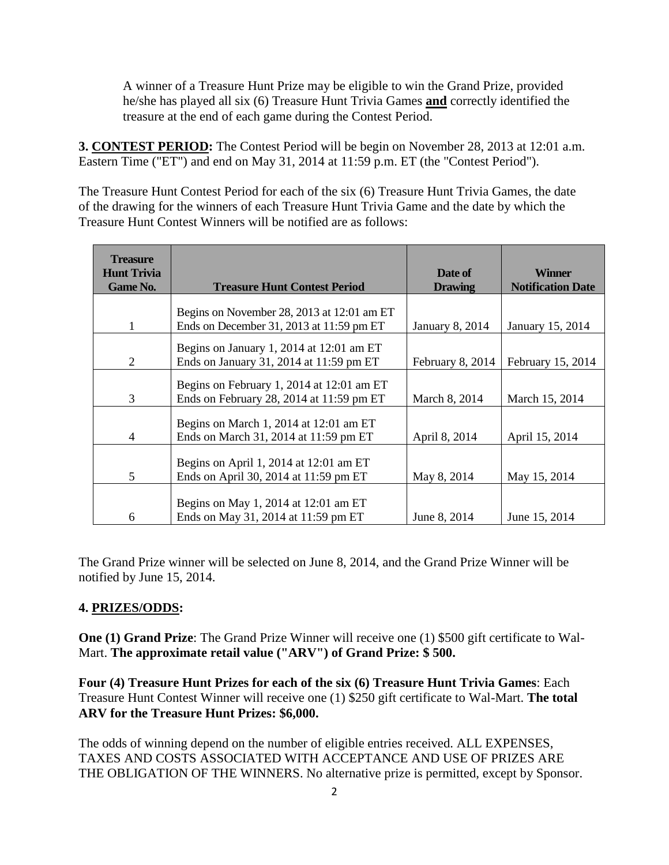A winner of a Treasure Hunt Prize may be eligible to win the Grand Prize, provided he/she has played all six (6) Treasure Hunt Trivia Games **and** correctly identified the treasure at the end of each game during the Contest Period.

**3. CONTEST PERIOD:** The Contest Period will be begin on November 28, 2013 at 12:01 a.m. Eastern Time ("ET") and end on May 31, 2014 at 11:59 p.m. ET (the "Contest Period").

The Treasure Hunt Contest Period for each of the six (6) Treasure Hunt Trivia Games, the date of the drawing for the winners of each Treasure Hunt Trivia Game and the date by which the Treasure Hunt Contest Winners will be notified are as follows:

| <b>Treasure</b><br><b>Hunt Trivia</b><br><b>Game No.</b> | <b>Treasure Hunt Contest Period</b>        | Date of<br><b>Drawing</b> | <b>Winner</b><br><b>Notification Date</b> |
|----------------------------------------------------------|--------------------------------------------|---------------------------|-------------------------------------------|
|                                                          | Begins on November 28, 2013 at 12:01 am ET |                           |                                           |
|                                                          | Ends on December 31, 2013 at 11:59 pm ET   | <b>January 8, 2014</b>    | January 15, 2014                          |
|                                                          | Begins on January 1, 2014 at 12:01 am ET   |                           |                                           |
| 2                                                        | Ends on January 31, 2014 at 11:59 pm ET    | February 8, 2014          | February 15, 2014                         |
|                                                          |                                            |                           |                                           |
|                                                          | Begins on February 1, 2014 at 12:01 am ET  |                           |                                           |
| 3                                                        | Ends on February 28, 2014 at $11:59$ pm ET | March 8, 2014             | March 15, 2014                            |
|                                                          | Begins on March 1, 2014 at 12:01 am ET     |                           |                                           |
| 4                                                        | Ends on March 31, 2014 at 11:59 pm ET      | April 8, 2014             | April 15, 2014                            |
|                                                          | Begins on April 1, 2014 at 12:01 am ET     |                           |                                           |
| 5                                                        | Ends on April 30, 2014 at 11:59 pm ET      | May 8, 2014               | May 15, 2014                              |
|                                                          |                                            |                           |                                           |
|                                                          | Begins on May 1, 2014 at 12:01 am ET       |                           |                                           |
|                                                          |                                            |                           |                                           |
| 6                                                        | Ends on May 31, 2014 at 11:59 pm ET        | June 8, 2014              | June 15, 2014                             |

The Grand Prize winner will be selected on June 8, 2014, and the Grand Prize Winner will be notified by June 15, 2014.

## **4. PRIZES/ODDS:**

**One (1) Grand Prize**: The Grand Prize Winner will receive one (1) \$500 gift certificate to Wal-Mart. **The approximate retail value ("ARV") of Grand Prize: \$ 500.** 

**Four (4) Treasure Hunt Prizes for each of the six (6) Treasure Hunt Trivia Games**: Each Treasure Hunt Contest Winner will receive one (1) \$250 gift certificate to Wal-Mart. **The total ARV for the Treasure Hunt Prizes: \$6,000.** 

The odds of winning depend on the number of eligible entries received. ALL EXPENSES, TAXES AND COSTS ASSOCIATED WITH ACCEPTANCE AND USE OF PRIZES ARE THE OBLIGATION OF THE WINNERS. No alternative prize is permitted, except by Sponsor.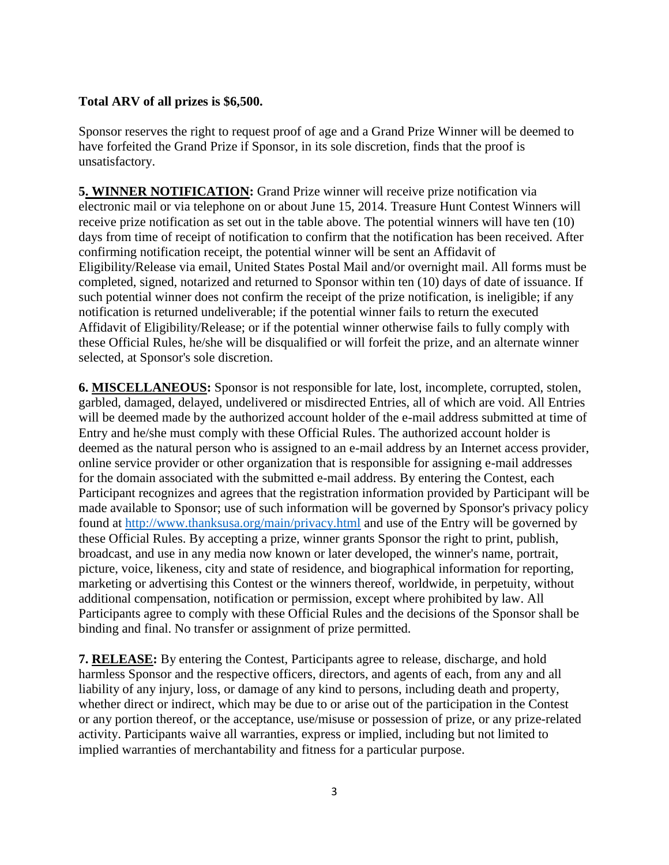## **Total ARV of all prizes is \$6,500.**

Sponsor reserves the right to request proof of age and a Grand Prize Winner will be deemed to have forfeited the Grand Prize if Sponsor, in its sole discretion, finds that the proof is unsatisfactory.

**5. WINNER NOTIFICATION:** Grand Prize winner will receive prize notification via electronic mail or via telephone on or about June 15, 2014. Treasure Hunt Contest Winners will receive prize notification as set out in the table above. The potential winners will have ten (10) days from time of receipt of notification to confirm that the notification has been received. After confirming notification receipt, the potential winner will be sent an Affidavit of Eligibility/Release via email, United States Postal Mail and/or overnight mail. All forms must be completed, signed, notarized and returned to Sponsor within ten (10) days of date of issuance. If such potential winner does not confirm the receipt of the prize notification, is ineligible; if any notification is returned undeliverable; if the potential winner fails to return the executed Affidavit of Eligibility/Release; or if the potential winner otherwise fails to fully comply with these Official Rules, he/she will be disqualified or will forfeit the prize, and an alternate winner selected, at Sponsor's sole discretion.

**6. MISCELLANEOUS:** Sponsor is not responsible for late, lost, incomplete, corrupted, stolen, garbled, damaged, delayed, undelivered or misdirected Entries, all of which are void. All Entries will be deemed made by the authorized account holder of the e-mail address submitted at time of Entry and he/she must comply with these Official Rules. The authorized account holder is deemed as the natural person who is assigned to an e-mail address by an Internet access provider, online service provider or other organization that is responsible for assigning e-mail addresses for the domain associated with the submitted e-mail address. By entering the Contest, each Participant recognizes and agrees that the registration information provided by Participant will be made available to Sponsor; use of such information will be governed by Sponsor's privacy policy found at<http://www.thanksusa.org/main/privacy.html> and use of the Entry will be governed by these Official Rules. By accepting a prize, winner grants Sponsor the right to print, publish, broadcast, and use in any media now known or later developed, the winner's name, portrait, picture, voice, likeness, city and state of residence, and biographical information for reporting, marketing or advertising this Contest or the winners thereof, worldwide, in perpetuity, without additional compensation, notification or permission, except where prohibited by law. All Participants agree to comply with these Official Rules and the decisions of the Sponsor shall be binding and final. No transfer or assignment of prize permitted.

**7. RELEASE:** By entering the Contest, Participants agree to release, discharge, and hold harmless Sponsor and the respective officers, directors, and agents of each, from any and all liability of any injury, loss, or damage of any kind to persons, including death and property, whether direct or indirect, which may be due to or arise out of the participation in the Contest or any portion thereof, or the acceptance, use/misuse or possession of prize, or any prize-related activity. Participants waive all warranties, express or implied, including but not limited to implied warranties of merchantability and fitness for a particular purpose.